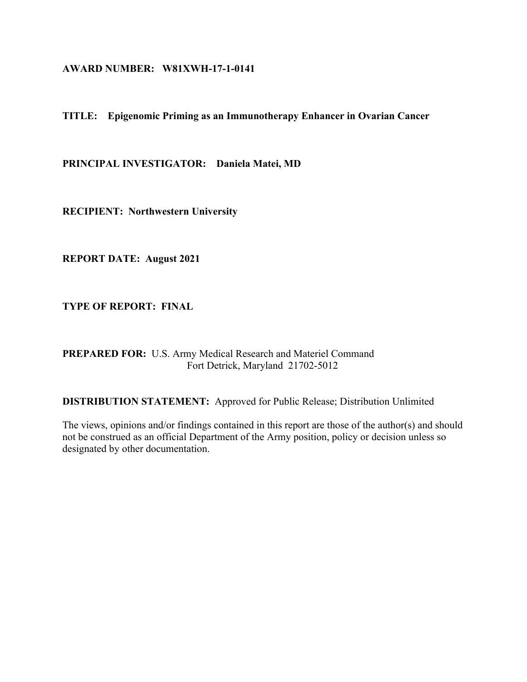#### **AWARD NUMBER: W81XWH-17-1-0141**

### **TITLE: Epigenomic Priming as an Immunotherapy Enhancer in Ovarian Cancer**

**PRINCIPAL INVESTIGATOR: Daniela Matei, MD** 

**RECIPIENT: Northwestern University** 

**REPORT DATE: August 2021** 

**TYPE OF REPORT: FINAL**

**PREPARED FOR:** U.S. Army Medical Research and Materiel Command Fort Detrick, Maryland 21702-5012

**DISTRIBUTION STATEMENT:** Approved for Public Release; Distribution Unlimited

The views, opinions and/or findings contained in this report are those of the author(s) and should not be construed as an official Department of the Army position, policy or decision unless so designated by other documentation.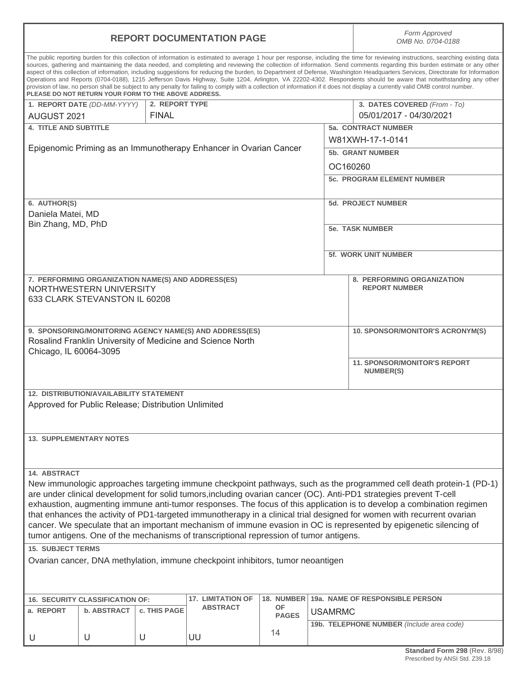|                                                                                                                                                                                                                                                                                                                                                                                                                                                                                                                                                                                                                                                                                                                                                                                                                                                                                                                                                                      | <b>REPORT DOCUMENTATION PAGE</b>                                                                                       | Form Approved<br>OMB No. 0704-0188 |                                                         |              |                             |                                                                                                                       |  |
|----------------------------------------------------------------------------------------------------------------------------------------------------------------------------------------------------------------------------------------------------------------------------------------------------------------------------------------------------------------------------------------------------------------------------------------------------------------------------------------------------------------------------------------------------------------------------------------------------------------------------------------------------------------------------------------------------------------------------------------------------------------------------------------------------------------------------------------------------------------------------------------------------------------------------------------------------------------------|------------------------------------------------------------------------------------------------------------------------|------------------------------------|---------------------------------------------------------|--------------|-----------------------------|-----------------------------------------------------------------------------------------------------------------------|--|
| The public reporting burden for this collection of information is estimated to average 1 hour per response, including the time for reviewing instructions, searching existing data<br>sources, gathering and maintaining the data needed, and completing and reviewing the collection of information. Send comments regarding this burden estimate or any other<br>aspect of this collection of information, including suggestions for reducing the burden, to Department of Defense, Washington Headquarters Services, Directorate for Information<br>Operations and Reports (0704-0188), 1215 Jefferson Davis Highway, Suite 1204, Arlington, VA 22202-4302. Respondents should be aware that notwithstanding any other<br>provision of law, no person shall be subject to any penalty for failing to comply with a collection of information if it does not display a currently valid OMB control number.<br>PLEASE DO NOT RETURN YOUR FORM TO THE ABOVE ADDRESS. |                                                                                                                        |                                    |                                                         |              |                             |                                                                                                                       |  |
|                                                                                                                                                                                                                                                                                                                                                                                                                                                                                                                                                                                                                                                                                                                                                                                                                                                                                                                                                                      | 1. REPORT DATE (DD-MM-YYYY)                                                                                            | 2. REPORT TYPE                     |                                                         |              |                             | 3. DATES COVERED (From - To)                                                                                          |  |
| AUGUST 2021                                                                                                                                                                                                                                                                                                                                                                                                                                                                                                                                                                                                                                                                                                                                                                                                                                                                                                                                                          |                                                                                                                        | <b>FINAL</b>                       |                                                         |              |                             | 05/01/2017 - 04/30/2021                                                                                               |  |
| <b>4. TITLE AND SUBTITLE</b>                                                                                                                                                                                                                                                                                                                                                                                                                                                                                                                                                                                                                                                                                                                                                                                                                                                                                                                                         |                                                                                                                        |                                    |                                                         |              |                             | <b>5a. CONTRACT NUMBER</b>                                                                                            |  |
|                                                                                                                                                                                                                                                                                                                                                                                                                                                                                                                                                                                                                                                                                                                                                                                                                                                                                                                                                                      |                                                                                                                        |                                    |                                                         |              |                             | W81XWH-17-1-0141                                                                                                      |  |
| Epigenomic Priming as an Immunotherapy Enhancer in Ovarian Cancer                                                                                                                                                                                                                                                                                                                                                                                                                                                                                                                                                                                                                                                                                                                                                                                                                                                                                                    |                                                                                                                        |                                    |                                                         |              |                             | <b>5b. GRANT NUMBER</b>                                                                                               |  |
|                                                                                                                                                                                                                                                                                                                                                                                                                                                                                                                                                                                                                                                                                                                                                                                                                                                                                                                                                                      |                                                                                                                        |                                    |                                                         |              |                             |                                                                                                                       |  |
|                                                                                                                                                                                                                                                                                                                                                                                                                                                                                                                                                                                                                                                                                                                                                                                                                                                                                                                                                                      |                                                                                                                        |                                    |                                                         |              |                             | OC160260                                                                                                              |  |
|                                                                                                                                                                                                                                                                                                                                                                                                                                                                                                                                                                                                                                                                                                                                                                                                                                                                                                                                                                      |                                                                                                                        |                                    |                                                         |              |                             | <b>5c. PROGRAM ELEMENT NUMBER</b>                                                                                     |  |
| 6. AUTHOR(S)                                                                                                                                                                                                                                                                                                                                                                                                                                                                                                                                                                                                                                                                                                                                                                                                                                                                                                                                                         |                                                                                                                        |                                    |                                                         |              |                             | <b>5d. PROJECT NUMBER</b>                                                                                             |  |
| Daniela Matei, MD                                                                                                                                                                                                                                                                                                                                                                                                                                                                                                                                                                                                                                                                                                                                                                                                                                                                                                                                                    |                                                                                                                        |                                    |                                                         |              |                             |                                                                                                                       |  |
|                                                                                                                                                                                                                                                                                                                                                                                                                                                                                                                                                                                                                                                                                                                                                                                                                                                                                                                                                                      |                                                                                                                        |                                    |                                                         |              |                             |                                                                                                                       |  |
| Bin Zhang, MD, PhD                                                                                                                                                                                                                                                                                                                                                                                                                                                                                                                                                                                                                                                                                                                                                                                                                                                                                                                                                   |                                                                                                                        |                                    |                                                         |              | <b>5e. TASK NUMBER</b>      |                                                                                                                       |  |
|                                                                                                                                                                                                                                                                                                                                                                                                                                                                                                                                                                                                                                                                                                                                                                                                                                                                                                                                                                      |                                                                                                                        |                                    |                                                         |              | <b>5f. WORK UNIT NUMBER</b> |                                                                                                                       |  |
|                                                                                                                                                                                                                                                                                                                                                                                                                                                                                                                                                                                                                                                                                                                                                                                                                                                                                                                                                                      |                                                                                                                        |                                    |                                                         |              |                             |                                                                                                                       |  |
|                                                                                                                                                                                                                                                                                                                                                                                                                                                                                                                                                                                                                                                                                                                                                                                                                                                                                                                                                                      | 7. PERFORMING ORGANIZATION NAME(S) AND ADDRESS(ES)                                                                     |                                    |                                                         |              |                             | 8. PERFORMING ORGANIZATION                                                                                            |  |
|                                                                                                                                                                                                                                                                                                                                                                                                                                                                                                                                                                                                                                                                                                                                                                                                                                                                                                                                                                      | NORTHWESTERN UNIVERSITY                                                                                                |                                    |                                                         |              |                             | <b>REPORT NUMBER</b>                                                                                                  |  |
|                                                                                                                                                                                                                                                                                                                                                                                                                                                                                                                                                                                                                                                                                                                                                                                                                                                                                                                                                                      | 633 CLARK STEVANSTON IL 60208                                                                                          |                                    |                                                         |              |                             |                                                                                                                       |  |
|                                                                                                                                                                                                                                                                                                                                                                                                                                                                                                                                                                                                                                                                                                                                                                                                                                                                                                                                                                      |                                                                                                                        |                                    |                                                         |              |                             |                                                                                                                       |  |
|                                                                                                                                                                                                                                                                                                                                                                                                                                                                                                                                                                                                                                                                                                                                                                                                                                                                                                                                                                      |                                                                                                                        |                                    |                                                         |              |                             |                                                                                                                       |  |
|                                                                                                                                                                                                                                                                                                                                                                                                                                                                                                                                                                                                                                                                                                                                                                                                                                                                                                                                                                      |                                                                                                                        |                                    | 9. SPONSORING/MONITORING AGENCY NAME(S) AND ADDRESS(ES) |              |                             | <b>10. SPONSOR/MONITOR'S ACRONYM(S)</b>                                                                               |  |
| Rosalind Franklin University of Medicine and Science North                                                                                                                                                                                                                                                                                                                                                                                                                                                                                                                                                                                                                                                                                                                                                                                                                                                                                                           |                                                                                                                        |                                    |                                                         |              |                             |                                                                                                                       |  |
| Chicago, IL 60064-3095                                                                                                                                                                                                                                                                                                                                                                                                                                                                                                                                                                                                                                                                                                                                                                                                                                                                                                                                               |                                                                                                                        |                                    |                                                         |              |                             |                                                                                                                       |  |
|                                                                                                                                                                                                                                                                                                                                                                                                                                                                                                                                                                                                                                                                                                                                                                                                                                                                                                                                                                      |                                                                                                                        |                                    |                                                         |              |                             | <b>11. SPONSOR/MONITOR'S REPORT</b><br><b>NUMBER(S)</b>                                                               |  |
|                                                                                                                                                                                                                                                                                                                                                                                                                                                                                                                                                                                                                                                                                                                                                                                                                                                                                                                                                                      |                                                                                                                        |                                    |                                                         |              |                             |                                                                                                                       |  |
|                                                                                                                                                                                                                                                                                                                                                                                                                                                                                                                                                                                                                                                                                                                                                                                                                                                                                                                                                                      | <b>12. DISTRIBUTION/AVAILABILITY STATEMENT</b>                                                                         |                                    |                                                         |              |                             |                                                                                                                       |  |
|                                                                                                                                                                                                                                                                                                                                                                                                                                                                                                                                                                                                                                                                                                                                                                                                                                                                                                                                                                      | Approved for Public Release; Distribution Unlimited                                                                    |                                    |                                                         |              |                             |                                                                                                                       |  |
|                                                                                                                                                                                                                                                                                                                                                                                                                                                                                                                                                                                                                                                                                                                                                                                                                                                                                                                                                                      |                                                                                                                        |                                    |                                                         |              |                             |                                                                                                                       |  |
|                                                                                                                                                                                                                                                                                                                                                                                                                                                                                                                                                                                                                                                                                                                                                                                                                                                                                                                                                                      |                                                                                                                        |                                    |                                                         |              |                             |                                                                                                                       |  |
|                                                                                                                                                                                                                                                                                                                                                                                                                                                                                                                                                                                                                                                                                                                                                                                                                                                                                                                                                                      | <b>13. SUPPLEMENTARY NOTES</b>                                                                                         |                                    |                                                         |              |                             |                                                                                                                       |  |
|                                                                                                                                                                                                                                                                                                                                                                                                                                                                                                                                                                                                                                                                                                                                                                                                                                                                                                                                                                      |                                                                                                                        |                                    |                                                         |              |                             |                                                                                                                       |  |
|                                                                                                                                                                                                                                                                                                                                                                                                                                                                                                                                                                                                                                                                                                                                                                                                                                                                                                                                                                      |                                                                                                                        |                                    |                                                         |              |                             |                                                                                                                       |  |
| 14. ABSTRACT                                                                                                                                                                                                                                                                                                                                                                                                                                                                                                                                                                                                                                                                                                                                                                                                                                                                                                                                                         |                                                                                                                        |                                    |                                                         |              |                             |                                                                                                                       |  |
|                                                                                                                                                                                                                                                                                                                                                                                                                                                                                                                                                                                                                                                                                                                                                                                                                                                                                                                                                                      |                                                                                                                        |                                    |                                                         |              |                             | New immunologic approaches targeting immune checkpoint pathways, such as the programmed cell death protein-1 (PD-1)   |  |
| are under clinical development for solid tumors, including ovarian cancer (OC). Anti-PD1 strategies prevent T-cell                                                                                                                                                                                                                                                                                                                                                                                                                                                                                                                                                                                                                                                                                                                                                                                                                                                   |                                                                                                                        |                                    |                                                         |              |                             |                                                                                                                       |  |
|                                                                                                                                                                                                                                                                                                                                                                                                                                                                                                                                                                                                                                                                                                                                                                                                                                                                                                                                                                      |                                                                                                                        |                                    |                                                         |              |                             | exhaustion, augmenting immune anti-tumor responses. The focus of this application is to develop a combination regimen |  |
|                                                                                                                                                                                                                                                                                                                                                                                                                                                                                                                                                                                                                                                                                                                                                                                                                                                                                                                                                                      | that enhances the activity of PD1-targeted immunotherapy in a clinical trial designed for women with recurrent ovarian |                                    |                                                         |              |                             |                                                                                                                       |  |
|                                                                                                                                                                                                                                                                                                                                                                                                                                                                                                                                                                                                                                                                                                                                                                                                                                                                                                                                                                      |                                                                                                                        |                                    |                                                         |              |                             | cancer. We speculate that an important mechanism of immune evasion in OC is represented by epigenetic silencing of    |  |
| tumor antigens. One of the mechanisms of transcriptional repression of tumor antigens.                                                                                                                                                                                                                                                                                                                                                                                                                                                                                                                                                                                                                                                                                                                                                                                                                                                                               |                                                                                                                        |                                    |                                                         |              |                             |                                                                                                                       |  |
| <b>15. SUBJECT TERMS</b>                                                                                                                                                                                                                                                                                                                                                                                                                                                                                                                                                                                                                                                                                                                                                                                                                                                                                                                                             |                                                                                                                        |                                    |                                                         |              |                             |                                                                                                                       |  |
| Ovarian cancer, DNA methylation, immune checkpoint inhibitors, tumor neoantigen                                                                                                                                                                                                                                                                                                                                                                                                                                                                                                                                                                                                                                                                                                                                                                                                                                                                                      |                                                                                                                        |                                    |                                                         |              |                             |                                                                                                                       |  |
|                                                                                                                                                                                                                                                                                                                                                                                                                                                                                                                                                                                                                                                                                                                                                                                                                                                                                                                                                                      |                                                                                                                        |                                    |                                                         |              |                             |                                                                                                                       |  |
|                                                                                                                                                                                                                                                                                                                                                                                                                                                                                                                                                                                                                                                                                                                                                                                                                                                                                                                                                                      |                                                                                                                        |                                    |                                                         |              |                             |                                                                                                                       |  |
|                                                                                                                                                                                                                                                                                                                                                                                                                                                                                                                                                                                                                                                                                                                                                                                                                                                                                                                                                                      | 16. SECURITY CLASSIFICATION OF:                                                                                        |                                    | <b>17. LIMITATION OF</b>                                | 18. NUMBER   |                             | 19a. NAME OF RESPONSIBLE PERSON                                                                                       |  |
| a. REPORT                                                                                                                                                                                                                                                                                                                                                                                                                                                                                                                                                                                                                                                                                                                                                                                                                                                                                                                                                            | b. ABSTRACT                                                                                                            | c. THIS PAGE                       | <b>ABSTRACT</b>                                         | <b>OF</b>    | <b>USAMRMC</b>              |                                                                                                                       |  |
|                                                                                                                                                                                                                                                                                                                                                                                                                                                                                                                                                                                                                                                                                                                                                                                                                                                                                                                                                                      |                                                                                                                        |                                    |                                                         | <b>PAGES</b> |                             | 19b. TELEPHONE NUMBER (Include area code)                                                                             |  |
|                                                                                                                                                                                                                                                                                                                                                                                                                                                                                                                                                                                                                                                                                                                                                                                                                                                                                                                                                                      |                                                                                                                        |                                    |                                                         | 14           |                             |                                                                                                                       |  |
| U                                                                                                                                                                                                                                                                                                                                                                                                                                                                                                                                                                                                                                                                                                                                                                                                                                                                                                                                                                    | U                                                                                                                      | U                                  | UU                                                      |              |                             |                                                                                                                       |  |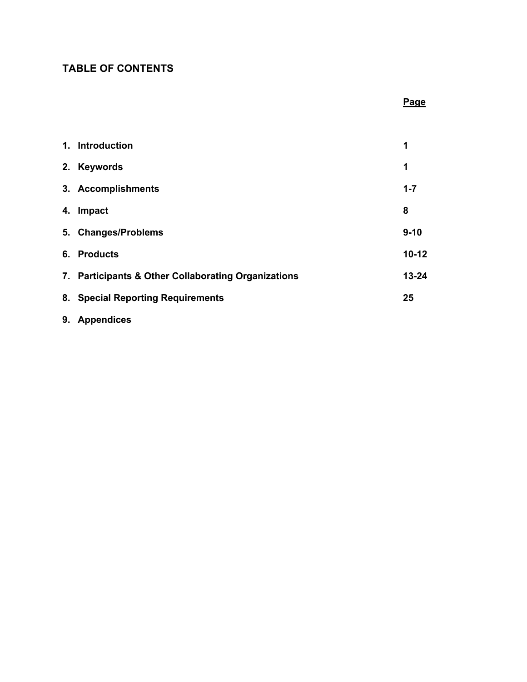# **TABLE OF CONTENTS**

| 1. Introduction                                     | 1         |
|-----------------------------------------------------|-----------|
| 2. Keywords                                         | 1         |
| 3. Accomplishments                                  | $1 - 7$   |
| 4. Impact                                           | 8         |
| 5. Changes/Problems                                 | $9 - 10$  |
| 6. Products                                         | $10 - 12$ |
| 7. Participants & Other Collaborating Organizations | $13 - 24$ |
| 8. Special Reporting Requirements                   | 25        |
|                                                     |           |

**Page**

**9. Appendices**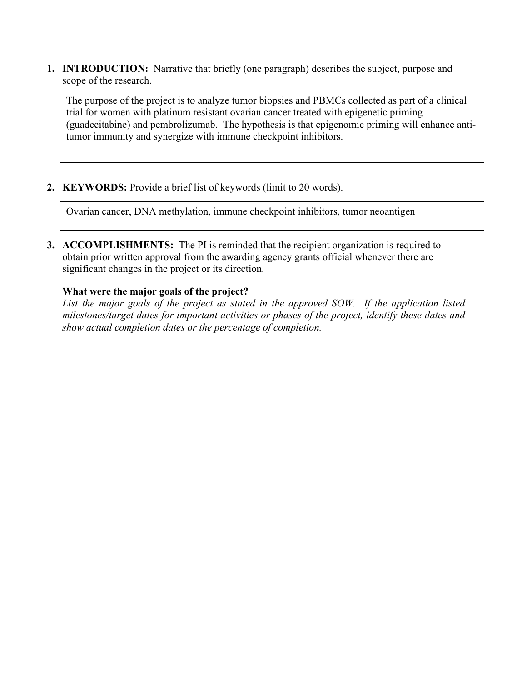**1. INTRODUCTION:** Narrative that briefly (one paragraph) describes the subject, purpose and scope of the research.

The purpose of the project is to analyze tumor biopsies and PBMCs collected as part of a clinical trial for women with platinum resistant ovarian cancer treated with epigenetic priming (guadecitabine) and pembrolizumab. The hypothesis is that epigenomic priming will enhance antitumor immunity and synergize with immune checkpoint inhibitors.

**2. KEYWORDS:** Provide a brief list of keywords (limit to 20 words).

Ovarian cancer, DNA methylation, immune checkpoint inhibitors, tumor neoantigen

**3. ACCOMPLISHMENTS:** The PI is reminded that the recipient organization is required to obtain prior written approval from the awarding agency grants official whenever there are significant changes in the project or its direction.

# **What were the major goals of the project?**

*List the major goals of the project as stated in the approved SOW. If the application listed milestones/target dates for important activities or phases of the project, identify these dates and show actual completion dates or the percentage of completion.*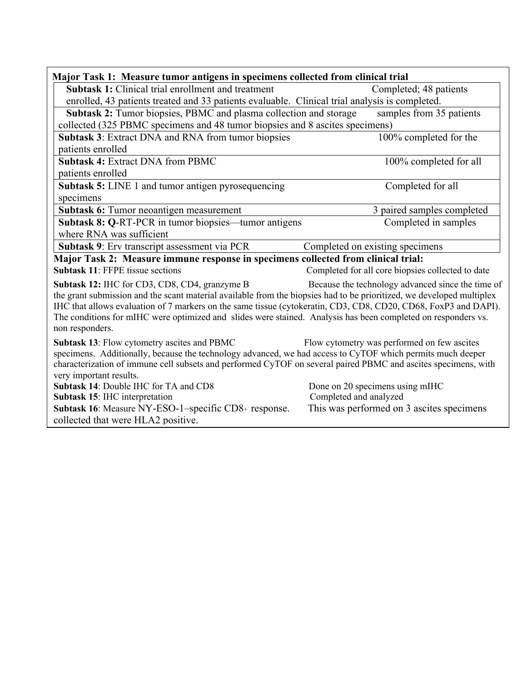| Major Task 1: Measure tumor antigens in specimens collected from clinical trial                                                                                                                                                                                                                                                                                                                                                                                                    |                                                   |  |  |  |  |
|------------------------------------------------------------------------------------------------------------------------------------------------------------------------------------------------------------------------------------------------------------------------------------------------------------------------------------------------------------------------------------------------------------------------------------------------------------------------------------|---------------------------------------------------|--|--|--|--|
| <b>Subtask 1:</b> Clinical trial enrollment and treatment                                                                                                                                                                                                                                                                                                                                                                                                                          | Completed; 48 patients                            |  |  |  |  |
| enrolled, 43 patients treated and 33 patients evaluable. Clinical trial analysis is completed.                                                                                                                                                                                                                                                                                                                                                                                     |                                                   |  |  |  |  |
| Subtask 2: Tumor biopsies, PBMC and plasma collection and storage                                                                                                                                                                                                                                                                                                                                                                                                                  | samples from 35 patients                          |  |  |  |  |
| collected (325 PBMC specimens and 48 tumor biopsies and 8 ascites specimens)                                                                                                                                                                                                                                                                                                                                                                                                       |                                                   |  |  |  |  |
| Subtask 3: Extract DNA and RNA from tumor biopsies                                                                                                                                                                                                                                                                                                                                                                                                                                 | 100% completed for the                            |  |  |  |  |
| patients enrolled                                                                                                                                                                                                                                                                                                                                                                                                                                                                  |                                                   |  |  |  |  |
| <b>Subtask 4: Extract DNA from PBMC</b>                                                                                                                                                                                                                                                                                                                                                                                                                                            | 100% completed for all                            |  |  |  |  |
| patients enrolled                                                                                                                                                                                                                                                                                                                                                                                                                                                                  |                                                   |  |  |  |  |
| Subtask 5: LINE 1 and tumor antigen pyrosequencing                                                                                                                                                                                                                                                                                                                                                                                                                                 | Completed for all                                 |  |  |  |  |
| specimens                                                                                                                                                                                                                                                                                                                                                                                                                                                                          |                                                   |  |  |  |  |
| Subtask 6: Tumor neoantigen measurement                                                                                                                                                                                                                                                                                                                                                                                                                                            | 3 paired samples completed                        |  |  |  |  |
| Subtask 8: Q-RT-PCR in tumor biopsies—tumor antigens                                                                                                                                                                                                                                                                                                                                                                                                                               | Completed in samples                              |  |  |  |  |
| where RNA was sufficient                                                                                                                                                                                                                                                                                                                                                                                                                                                           |                                                   |  |  |  |  |
| Subtask 9: Erv transcript assessment via PCR                                                                                                                                                                                                                                                                                                                                                                                                                                       | Completed on existing specimens                   |  |  |  |  |
| Major Task 2: Measure immune response in specimens collected from clinical trial:                                                                                                                                                                                                                                                                                                                                                                                                  |                                                   |  |  |  |  |
| <b>Subtask 11: FFPE tissue sections</b>                                                                                                                                                                                                                                                                                                                                                                                                                                            | Completed for all core biopsies collected to date |  |  |  |  |
| Subtask 12: IHC for CD3, CD8, CD4, granzyme B<br>Because the technology advanced since the time of<br>the grant submission and the scant material available from the biopsies had to be prioritized, we developed multiplex<br>IHC that allows evaluation of 7 markers on the same tissue (cytokeratin, CD3, CD8, CD20, CD68, FoxP3 and DAPI).<br>The conditions for mIHC were optimized and slides were stained. Analysis has been completed on responders vs.<br>non responders. |                                                   |  |  |  |  |
| Subtask 13: Flow cytometry ascites and PBMC<br>Flow cytometry was performed on few ascites<br>specimens. Additionally, because the technology advanced, we had access to CyTOF which permits much deeper<br>characterization of immune cell subsets and performed CyTOF on several paired PBMC and ascites specimens, with<br>very important results.                                                                                                                              |                                                   |  |  |  |  |
| Subtask 14: Double IHC for TA and CD8                                                                                                                                                                                                                                                                                                                                                                                                                                              | Done on 20 specimens using mIHC                   |  |  |  |  |
| Subtask 15: IHC interpretation                                                                                                                                                                                                                                                                                                                                                                                                                                                     | Completed and analyzed                            |  |  |  |  |
| Subtask 16: Measure NY-ESO-1-specific CD8+ response.<br>collected that were HLA2 positive.                                                                                                                                                                                                                                                                                                                                                                                         | This was performed on 3 ascites specimens         |  |  |  |  |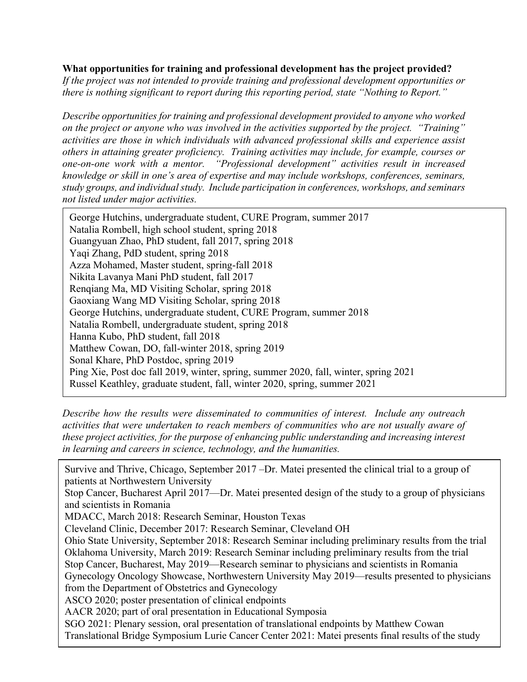## **What opportunities for training and professional development has the project provided?**

*If the project was not intended to provide training and professional development opportunities or there is nothing significant to report during this reporting period, state "Nothing to Report."*

*Describe opportunities for training and professional development provided to anyone who worked on the project or anyone who was involved in the activities supported by the project. "Training" activities are those in which individuals with advanced professional skills and experience assist others in attaining greater proficiency. Training activities may include, for example, courses or one-on-one work with a mentor. "Professional development" activities result in increased knowledge or skill in one's area of expertise and may include workshops, conferences, seminars, study groups, and individual study. Include participation in conferences, workshops, and seminars not listed under major activities.* 

**How were the results disseminated to communities of interest?**  George Hutchins, undergraduate student, CURE Program, summer 2018 George Hutchins, undergraduate student, CURE Program, summer 2017 Natalia Rombell, high school student, spring 2018 Guangyuan Zhao, PhD student, fall 2017, spring 2018 Yaqi Zhang, PdD student, spring 2018 Azza Mohamed, Master student, spring-fall 2018 Nikita Lavanya Mani PhD student, fall 2017 Renqiang Ma, MD Visiting Scholar, spring 2018 Gaoxiang Wang MD Visiting Scholar, spring 2018 Natalia Rombell, undergraduate student, spring 2018 Hanna Kubo, PhD student, fall 2018 Matthew Cowan, DO, fall-winter 2018, spring 2019 Sonal Khare, PhD Postdoc, spring 2019 Ping Xie, Post doc fall 2019, winter, spring, summer 2020, fall, winter, spring 2021 Russel Keathley, graduate student, fall, winter 2020, spring, summer 2021

*Describe how the results were disseminated to communities of interest. Include any outreach activities that were undertaken to reach members of communities who are not usually aware of these project activities, for the purpose of enhancing public understanding and increasing interest in learning and careers in science, technology, and the humanities.* 

Survive and Thrive, Chicago, September 2017 –Dr. Matei presented the clinical trial to a group of patients at Northwestern University

and scientists in Romania<br> **And Scientists in Romania** Stop Cancer, Bucharest April 2017—Dr. Matei presented design of the study to a group of physicians

*If this is the final report, state "Nothing to Report."*  MDACC, March 2018: Research Seminar, Houston Texas

Cleveland Clinic, December 2017: Research Seminar, Cleveland OH

Ohio State University, September 2018: Research Seminar including preliminary results from the trial Oklahoma University, March 2019: Research Seminar including preliminary results from the trial Stop Cancer, Bucharest, May 2019—Research seminar to physicians and scientists in Romania Gynecology Oncology Showcase, Northwestern University May 2019—results presented to physicians

from the Department of Obstetrics and Gynecology

ASCO 2020; poster presentation of clinical endpoints

AACR 2020; part of oral presentation in Educational Symposia

SGO 2021: Plenary session, oral presentation of translational endpoints by Matthew Cowan Translational Bridge Symposium Lurie Cancer Center 2021: Matei presents final results of the study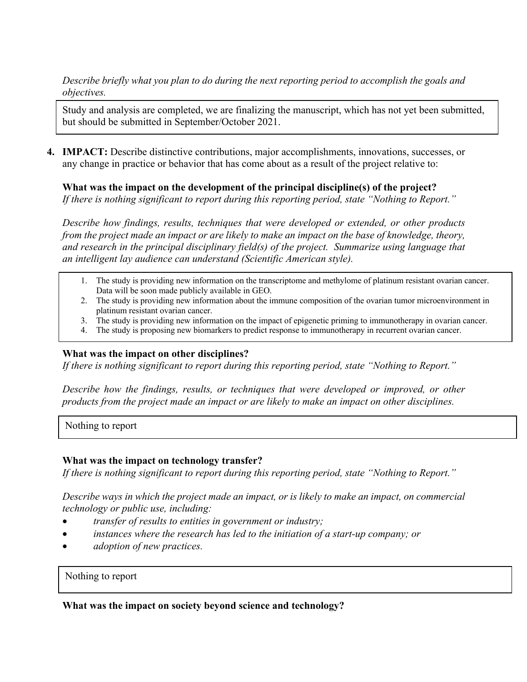*Describe briefly what you plan to do during the next reporting period to accomplish the goals and objectives.* 

Study and analysis are completed, we are finalizing the manuscript, which has not yet been submitted, but should be submitted in September/October 2021.

**4. IMPACT:** Describe distinctive contributions, major accomplishments, innovations, successes, or any change in practice or behavior that has come about as a result of the project relative to:

**What was the impact on the development of the principal discipline(s) of the project?**

*If there is nothing significant to report during this reporting period, state "Nothing to Report."*

*Describe how findings, results, techniques that were developed or extended, or other products from the project made an impact or are likely to make an impact on the base of knowledge, theory, and research in the principal disciplinary field(s) of the project. Summarize using language that an intelligent lay audience can understand (Scientific American style).*

- 1. The study is providing new information on the transcriptome and methylome of platinum resistant ovarian cancer. Data will be soon made publicly available in GEO.
- 2. The study is providing new information about the immune composition of the ovarian tumor microenvironment in platinum resistant ovarian cancer.
- 3. The study is providing new information on the impact of epigenetic priming to immunotherapy in ovarian cancer.
- 4. The study is proposing new biomarkers to predict response to immunotherapy in recurrent ovarian cancer.

### **What was the impact on other disciplines?**

*If there is nothing significant to report during this reporting period, state "Nothing to Report."*

*Describe how the findings, results, or techniques that were developed or improved, or other products from the project made an impact or are likely to make an impact on other disciplines.*

Nothing to report

### **What was the impact on technology transfer?**

*If there is nothing significant to report during this reporting period, state "Nothing to Report."*

*Describe ways in which the project made an impact, or is likely to make an impact, on commercial technology or public use, including:*

- *transfer of results to entities in government or industry;*
- *instances where the research has led to the initiation of a start-up company; or*
- *adoption of new practices.*

### Nothing to report

# **What was the impact on society beyond science and technology?**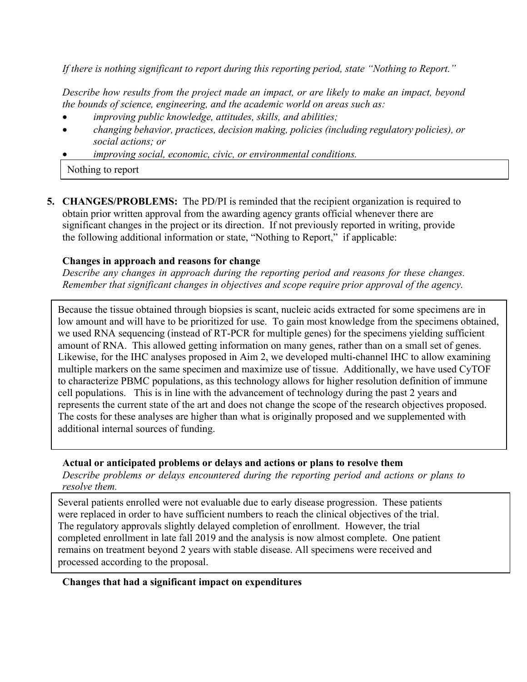*If there is nothing significant to report during this reporting period, state "Nothing to Report."*

*Describe how results from the project made an impact, or are likely to make an impact, beyond the bounds of science, engineering, and the academic world on areas such as:*

- *improving public knowledge, attitudes, skills, and abilities;*
- *changing behavior, practices, decision making, policies (including regulatory policies), or social actions; or*
- *improving social, economic, civic, or environmental conditions.*

Nothing to report

**5. CHANGES/PROBLEMS:** The PD/PI is reminded that the recipient organization is required to obtain prior written approval from the awarding agency grants official whenever there are significant changes in the project or its direction. If not previously reported in writing, provide the following additional information or state, "Nothing to Report," if applicable:

# **Changes in approach and reasons for change**

*Describe any changes in approach during the reporting period and reasons for these changes. Remember that significant changes in objectives and scope require prior approval of the agency.*

Because the tissue obtained through biopsies is scant, nucleic acids extracted for some specimens are in low amount and will have to be prioritized for use. To gain most knowledge from the specimens obtained, we used RNA sequencing (instead of RT-PCR for multiple genes) for the specimens yielding sufficient amount of RNA. This allowed getting information on many genes, rather than on a small set of genes. Likewise, for the IHC analyses proposed in Aim 2, we developed multi-channel IHC to allow examining multiple markers on the same specimen and maximize use of tissue. Additionally, we have used CyTOF to characterize PBMC populations, as this technology allows for higher resolution definition of immune cell populations. This is in line with the advancement of technology during the past 2 years and represents the current state of the art and does not change the scope of the research objectives proposed. The costs for these analyses are higher than what is originally proposed and we supplemented with additional internal sources of funding.

# **Actual or anticipated problems or delays and actions or plans to resolve them**

*Describe problems or delays encountered during the reporting period and actions or plans to resolve them.*

Several patients enrolled were not evaluable due to early disease progression. These patients were replaced in order to have sufficient numbers to reach the clinical objectives of the trial. The regulatory approvals slightly delayed completion of enrollment. However, the trial completed enrollment in late fall 2019 and the analysis is now almost complete. One patient remains on treatment beyond 2 years with stable disease. All specimens were received and processed according to the proposal.

### **Changes that had a significant impact on expenditures**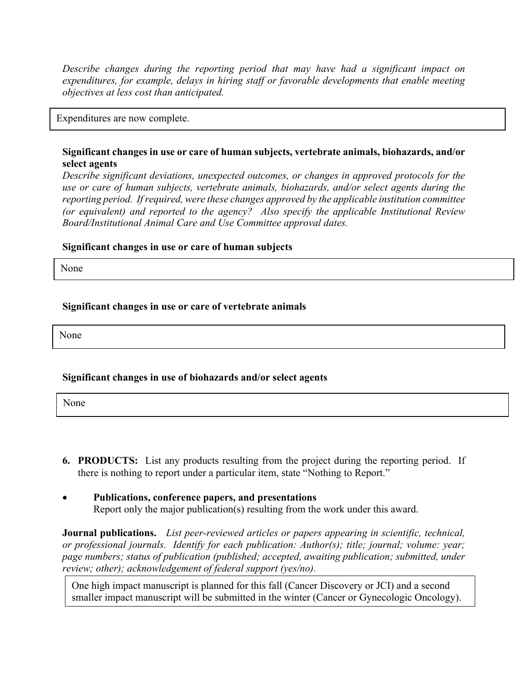*Describe changes during the reporting period that may have had a significant impact on expenditures, for example, delays in hiring staff or favorable developments that enable meeting objectives at less cost than anticipated.*

Expenditures are now complete.

## **Significant changes in use or care of human subjects, vertebrate animals, biohazards, and/or select agents**

*Describe significant deviations, unexpected outcomes, or changes in approved protocols for the use or care of human subjects, vertebrate animals, biohazards, and/or select agents during the reporting period. If required, were these changes approved by the applicable institution committee (or equivalent) and reported to the agency? Also specify the applicable Institutional Review Board/Institutional Animal Care and Use Committee approval dates.*

#### **Significant changes in use or care of human subjects**

None

#### **Significant changes in use or care of vertebrate animals**

None

### **Significant changes in use of biohazards and/or select agents**

None

- **6. PRODUCTS:** List any products resulting from the project during the reporting period. If there is nothing to report under a particular item, state "Nothing to Report."
- **Publications, conference papers, and presentations** Report only the major publication(s) resulting from the work under this award.

**Journal publications.** *List peer-reviewed articles or papers appearing in scientific, technical, or professional journals. Identify for each publication: Author(s); title; journal; volume: year; page numbers; status of publication (published; accepted, awaiting publication; submitted, under review; other); acknowledgement of federal support (yes/no).*

One high impact manuscript is planned for this fall (Cancer Discovery or JCI) and a second smaller impact manuscript will be submitted in the winter (Cancer or Gynecologic Oncology).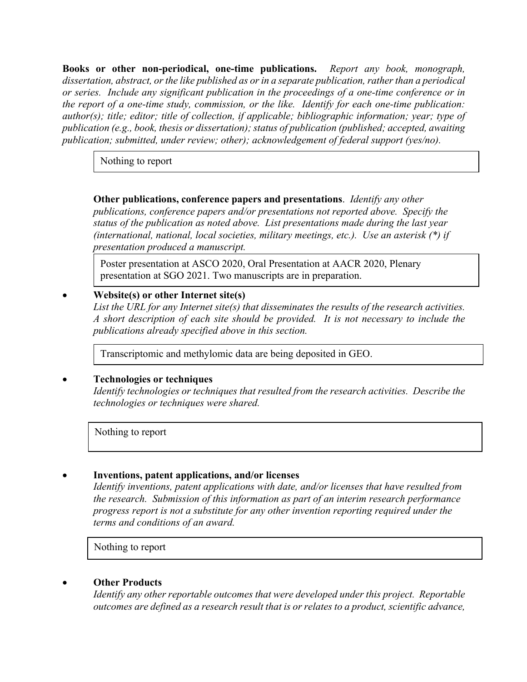**Books or other non-periodical, one-time publications.** *Report any book, monograph, dissertation, abstract, or the like published as or in a separate publication, rather than a periodical or series. Include any significant publication in the proceedings of a one-time conference or in the report of a one-time study, commission, or the like. Identify for each one-time publication: author(s); title; editor; title of collection, if applicable; bibliographic information; year; type of publication (e.g., book, thesis or dissertation); status of publication (published; accepted, awaiting publication; submitted, under review; other); acknowledgement of federal support (yes/no).*

Nothing to report

**Other publications, conference papers and presentations**. *Identify any other publications, conference papers and/or presentations not reported above. Specify the status of the publication as noted above. List presentations made during the last year (international, national, local societies, military meetings, etc.). Use an asterisk (\*) if presentation produced a manuscript.*

Poster presentation at ASCO 2020, Oral Presentation at AACR 2020, Plenary presentation at SGO 2021. Two manuscripts are in preparation.

# • **Website(s) or other Internet site(s)**

*List the URL for any Internet site(s) that disseminates the results of the research activities. A short description of each site should be provided. It is not necessary to include the publications already specified above in this section.*

Transcriptomic and methylomic data are being deposited in GEO.

# • **Technologies or techniques**

*Identify technologies or techniques that resulted from the research activities. Describe the technologies or techniques were shared.*

Nothing to report

# • **Inventions, patent applications, and/or licenses**

*Identify inventions, patent applications with date, and/or licenses that have resulted from the research. Submission of this information as part of an interim research performance progress report is not a substitute for any other invention reporting required under the terms and conditions of an award.*

Nothing to report

# • **Other Products**

*Identify any other reportable outcomes that were developed under this project. Reportable outcomes are defined as a research result that is or relates to a product, scientific advance,*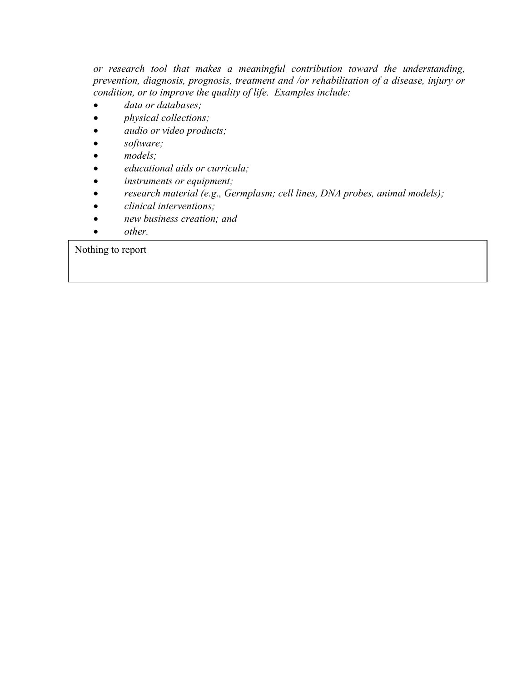*or research tool that makes a meaningful contribution toward the understanding, prevention, diagnosis, prognosis, treatment and /or rehabilitation of a disease, injury or condition, or to improve the quality of life. Examples include:*

- *data or databases;*
- *physical collections;*
- *audio or video products;*
- *software;*
- *models;*
- *educational aids or curricula;*
- *instruments or equipment;*
- *research material (e.g., Germplasm; cell lines, DNA probes, animal models);*
- *clinical interventions;*
- *new business creation; and*
- *other.*

Nothing to report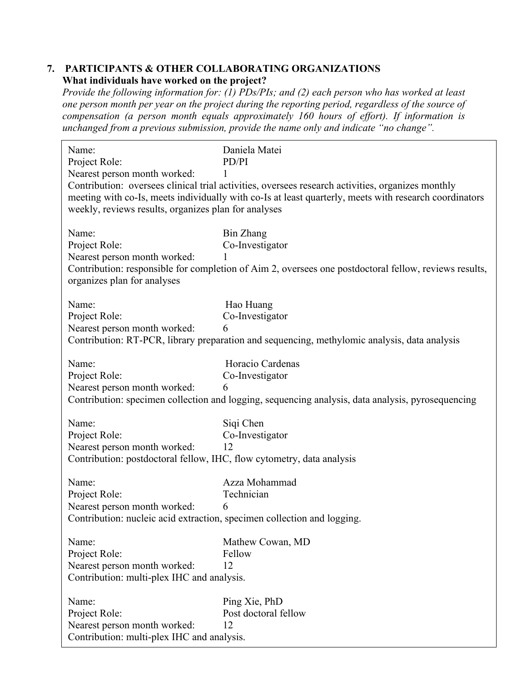## **7. PARTICIPANTS & OTHER COLLABORATING ORGANIZATIONS What individuals have worked on the project?**

*Provide the following information for: (1) PDs/PIs; and (2) each person who has worked at least one person month per year on the project during the reporting period, regardless of the source of compensation (a person month equals approximately 160 hours of effort). If information is unchanged from a previous submission, provide the name only and indicate "no change".*

| Name:<br>Project Role:<br>Nearest person month worked:<br>weekly, reviews results, organizes plan for analyses                    | Daniela Matei<br>PD/PI<br>Contribution: oversees clinical trial activities, oversees research activities, organizes monthly<br>meeting with co-Is, meets individually with co-Is at least quarterly, meets with research coordinators |
|-----------------------------------------------------------------------------------------------------------------------------------|---------------------------------------------------------------------------------------------------------------------------------------------------------------------------------------------------------------------------------------|
| Name:<br>Project Role:<br>Nearest person month worked:<br>organizes plan for analyses                                             | <b>Bin Zhang</b><br>Co-Investigator<br>Contribution: responsible for completion of Aim 2, oversees one postdoctoral fellow, reviews results,                                                                                          |
| Name:<br>Project Role:<br>Nearest person month worked:                                                                            | Hao Huang<br>Co-Investigator<br>6<br>Contribution: RT-PCR, library preparation and sequencing, methylomic analysis, data analysis                                                                                                     |
| Name:<br>Project Role:<br>Nearest person month worked:                                                                            | Horacio Cardenas<br>Co-Investigator<br>6<br>Contribution: specimen collection and logging, sequencing analysis, data analysis, pyrosequencing                                                                                         |
| Name:<br>Project Role:<br>Nearest person month worked:<br>Contribution: postdoctoral fellow, IHC, flow cytometry, data analysis   | Siqi Chen<br>Co-Investigator<br>12                                                                                                                                                                                                    |
| Name:<br>Project Role:<br>Nearest person month worked:<br>Contribution: nucleic acid extraction, specimen collection and logging. | Azza Mohammad<br>Technician<br>6                                                                                                                                                                                                      |
| Name:<br>Project Role:<br>Nearest person month worked:<br>Contribution: multi-plex IHC and analysis.                              | Mathew Cowan, MD<br>Fellow<br>12                                                                                                                                                                                                      |
| Name:<br>Project Role:<br>Nearest person month worked:<br>Contribution: multi-plex IHC and analysis.                              | Ping Xie, PhD<br>Post doctoral fellow<br>12                                                                                                                                                                                           |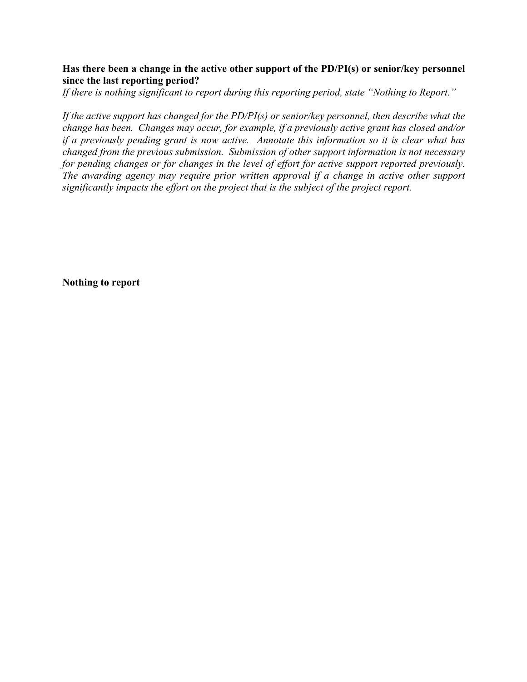## **Has there been a change in the active other support of the PD/PI(s) or senior/key personnel since the last reporting period?**

*If there is nothing significant to report during this reporting period, state "Nothing to Report."*

*If the active support has changed for the PD/PI(s) or senior/key personnel, then describe what the change has been. Changes may occur, for example, if a previously active grant has closed and/or if a previously pending grant is now active. Annotate this information so it is clear what has changed from the previous submission. Submission of other support information is not necessary for pending changes or for changes in the level of effort for active support reported previously. The awarding agency may require prior written approval if a change in active other support significantly impacts the effort on the project that is the subject of the project report.*

**Nothing to report**